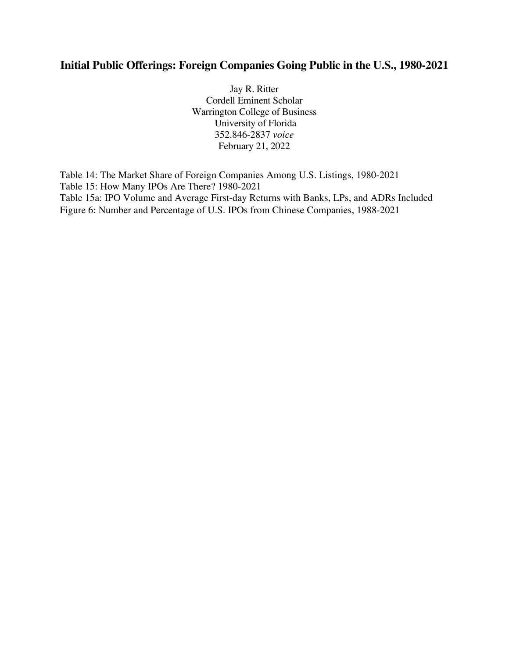# **Initial Public Offerings: Foreign Companies Going Public in the U.S., 1980-2021**

Jay R. Ritter Cordell Eminent Scholar Warrington College of Business University of Florida 352.846-2837 *voice* February 21, 2022

Table 14: The Market Share of Foreign Companies Among U.S. Listings, 1980-2021 Table 15: How Many IPOs Are There? 1980-2021 Table 15a: IPO Volume and Average First-day Returns with Banks, LPs, and ADRs Included Figure 6: Number and Percentage of U.S. IPOs from Chinese Companies, 1988-2021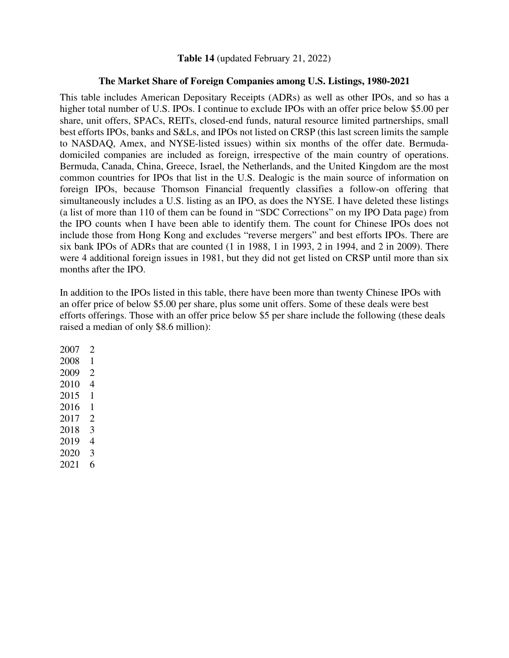### **Table 14** (updated February 21, 2022)

### **The Market Share of Foreign Companies among U.S. Listings, 1980-2021**

This table includes American Depositary Receipts (ADRs) as well as other IPOs, and so has a higher total number of U.S. IPOs. I continue to exclude IPOs with an offer price below \$5.00 per share, unit offers, SPACs, REITs, closed-end funds, natural resource limited partnerships, small best efforts IPOs, banks and S&Ls, and IPOs not listed on CRSP (this last screen limits the sample to NASDAQ, Amex, and NYSE-listed issues) within six months of the offer date. Bermudadomiciled companies are included as foreign, irrespective of the main country of operations. Bermuda, Canada, China, Greece, Israel, the Netherlands, and the United Kingdom are the most common countries for IPOs that list in the U.S. Dealogic is the main source of information on foreign IPOs, because Thomson Financial frequently classifies a follow-on offering that simultaneously includes a U.S. listing as an IPO, as does the NYSE. I have deleted these listings (a list of more than 110 of them can be found in "SDC Corrections" on my IPO Data page) from the IPO counts when I have been able to identify them. The count for Chinese IPOs does not include those from Hong Kong and excludes "reverse mergers" and best efforts IPOs. There are six bank IPOs of ADRs that are counted (1 in 1988, 1 in 1993, 2 in 1994, and 2 in 2009). There were 4 additional foreign issues in 1981, but they did not get listed on CRSP until more than six months after the IPO.

In addition to the IPOs listed in this table, there have been more than twenty Chinese IPOs with an offer price of below \$5.00 per share, plus some unit offers. Some of these deals were best efforts offerings. Those with an offer price below \$5 per share include the following (these deals raised a median of only \$8.6 million):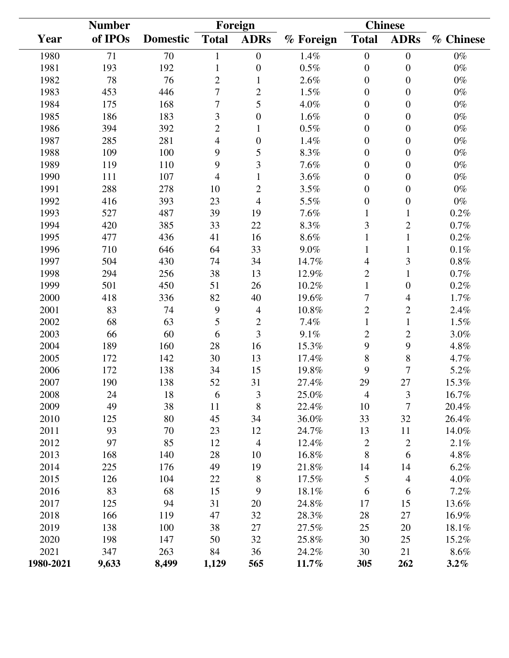|           | <b>Number</b> |                 | Foreign        |                  |           | <b>Chinese</b>   |                  |           |  |
|-----------|---------------|-----------------|----------------|------------------|-----------|------------------|------------------|-----------|--|
| Year      | of IPOs       | <b>Domestic</b> | <b>Total</b>   | <b>ADRs</b>      | % Foreign | <b>Total</b>     | <b>ADRs</b>      | % Chinese |  |
| 1980      | 71            | 70              | 1              | $\boldsymbol{0}$ | 1.4%      | $\boldsymbol{0}$ | $\boldsymbol{0}$ | $0\%$     |  |
| 1981      | 193           | 192             | 1              | $\boldsymbol{0}$ | $0.5\%$   | $\overline{0}$   | $\boldsymbol{0}$ | $0\%$     |  |
| 1982      | 78            | 76              | $\overline{2}$ | $\mathbf{1}$     | 2.6%      | $\boldsymbol{0}$ | $\boldsymbol{0}$ | $0\%$     |  |
| 1983      | 453           | 446             | 7              | $\overline{c}$   | 1.5%      | $\overline{0}$   | $\overline{0}$   | $0\%$     |  |
| 1984      | 175           | 168             | $\overline{7}$ | 5                | 4.0%      | $\boldsymbol{0}$ | $\boldsymbol{0}$ | $0\%$     |  |
| 1985      | 186           | 183             | 3              | $\boldsymbol{0}$ | 1.6%      | $\overline{0}$   | $\boldsymbol{0}$ | $0\%$     |  |
| 1986      | 394           | 392             | $\overline{2}$ | $\mathbf{1}$     | $0.5\%$   | $\boldsymbol{0}$ | $\boldsymbol{0}$ | $0\%$     |  |
| 1987      | 285           | 281             | 4              | $\boldsymbol{0}$ | 1.4%      | $\boldsymbol{0}$ | $\boldsymbol{0}$ | $0\%$     |  |
| 1988      | 109           | 100             | 9              | 5                | 8.3%      | $\boldsymbol{0}$ | $\boldsymbol{0}$ | $0\%$     |  |
| 1989      | 119           | 110             | 9              | 3                | 7.6%      | $\boldsymbol{0}$ | $\boldsymbol{0}$ | $0\%$     |  |
| 1990      | 111           | 107             | 4              | $\mathbf{1}$     | 3.6%      | $\overline{0}$   | $\boldsymbol{0}$ | $0\%$     |  |
| 1991      | 288           | 278             | 10             | $\overline{c}$   | 3.5%      | $\boldsymbol{0}$ | $\boldsymbol{0}$ | $0\%$     |  |
| 1992      | 416           | 393             | 23             | $\overline{4}$   | 5.5%      | $\boldsymbol{0}$ | $\boldsymbol{0}$ | $0\%$     |  |
| 1993      | 527           | 487             | 39             | 19               | 7.6%      |                  | 1                | $0.2\%$   |  |
| 1994      | 420           | 385             | 33             | 22               | 8.3%      | 3                | $\overline{c}$   | $0.7\%$   |  |
| 1995      | 477           | 436             | 41             | 16               | 8.6%      | $\mathbf{1}$     | $\mathbf{1}$     | 0.2%      |  |
| 1996      | 710           | 646             | 64             | 33               | 9.0%      | 1                | $\mathbf{1}$     | $0.1\%$   |  |
| 1997      | 504           | 430             | 74             | 34               | 14.7%     | 4                | 3                | $0.8\%$   |  |
| 1998      | 294           | 256             | 38             | 13               | 12.9%     | $\mathbf{2}$     | $\mathbf{1}$     | $0.7\%$   |  |
| 1999      | 501           | 450             | 51             | 26               | 10.2%     | $\mathbf{1}$     | $\boldsymbol{0}$ | 0.2%      |  |
| 2000      | 418           | 336             | 82             | 40               | 19.6%     | 7                | 4                | 1.7%      |  |
| 2001      | 83            | 74              | 9              | $\overline{4}$   | 10.8%     | $\overline{2}$   | $\overline{c}$   | 2.4%      |  |
| 2002      | 68            | 63              | 5              | $\mathbf{2}$     | 7.4%      | $\mathbf{1}$     | $\mathbf{1}$     | 1.5%      |  |
| 2003      | 66            | 60              | 6              | 3                | 9.1%      | $\overline{2}$   | $\overline{c}$   | 3.0%      |  |
| 2004      | 189           | 160             | 28             | 16               | 15.3%     | 9                | 9                | 4.8%      |  |
| 2005      | 172           | 142             | 30             | 13               | 17.4%     | 8                | 8                | 4.7%      |  |
| 2006      | 172           | 138             | 34             | 15               | 19.8%     | 9                | 7                | 5.2%      |  |
| 2007      | 190           | 138             | 52             | 31               | 27.4%     | 29               | 27               | 15.3%     |  |
| 2008      | 24            | 18              | 6              | $\mathfrak{Z}$   | 25.0%     | $\overline{4}$   | 3                | 16.7%     |  |
| 2009      | 49            | 38              | 11             | $8\,$            | 22.4%     | 10               | 7                | 20.4%     |  |
| 2010      | 125           | 80              | 45             | 34               | 36.0%     | 33               | 32               | 26.4%     |  |
| 2011      | 93            | 70              | 23             | 12               | 24.7%     | 13               | 11               | 14.0%     |  |
| 2012      | 97            | 85              | 12             | $\overline{4}$   | 12.4%     | $\mathbf{2}$     | $\overline{c}$   | 2.1%      |  |
| 2013      | 168           | 140             | 28             | 10               | 16.8%     | 8                | 6                | 4.8%      |  |
| 2014      | 225           | 176             | 49             | 19               | 21.8%     | 14               | 14               | 6.2%      |  |
| 2015      | 126           | 104             | 22             | $8\,$            | 17.5%     | 5                | 4                | 4.0%      |  |
| 2016      | 83            | 68              | 15             | 9                | 18.1%     | 6                | 6                | 7.2%      |  |
| 2017      | 125           | 94              | 31             | 20               | 24.8%     | 17               | 15               | 13.6%     |  |
| 2018      | 166           | 119             | 47             | 32               | 28.3%     | 28               | 27               | 16.9%     |  |
| 2019      | 138           | 100             | 38             | 27               | 27.5%     | 25               | 20               | 18.1%     |  |
| 2020      | 198           | 147             | 50             | 32               | 25.8%     | 30               | 25               | 15.2%     |  |
| 2021      | 347           | 263             | 84             | 36               | 24.2%     | 30               | 21               | $8.6\%$   |  |
| 1980-2021 | 9,633         | 8,499           | 1,129          | 565              | 11.7%     | 305              | 262              | $3.2\%$   |  |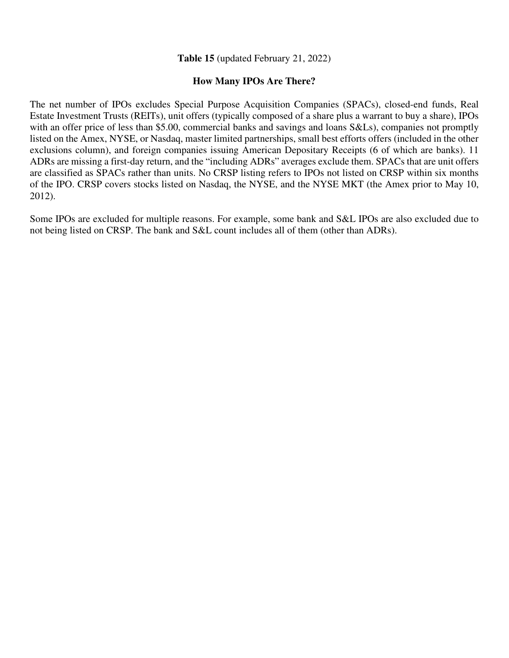### **Table 15** (updated February 21, 2022)

#### **How Many IPOs Are There?**

The net number of IPOs excludes Special Purpose Acquisition Companies (SPACs), closed-end funds, Real Estate Investment Trusts (REITs), unit offers (typically composed of a share plus a warrant to buy a share), IPOs with an offer price of less than \$5.00, commercial banks and savings and loans S&Ls), companies not promptly listed on the Amex, NYSE, or Nasdaq, master limited partnerships, small best efforts offers (included in the other exclusions column), and foreign companies issuing American Depositary Receipts (6 of which are banks). 11 ADRs are missing a first-day return, and the "including ADRs" averages exclude them. SPACs that are unit offers are classified as SPACs rather than units. No CRSP listing refers to IPOs not listed on CRSP within six months of the IPO. CRSP covers stocks listed on Nasdaq, the NYSE, and the NYSE MKT (the Amex prior to May 10, 2012).

Some IPOs are excluded for multiple reasons. For example, some bank and S&L IPOs are also excluded due to not being listed on CRSP. The bank and S&L count includes all of them (other than ADRs).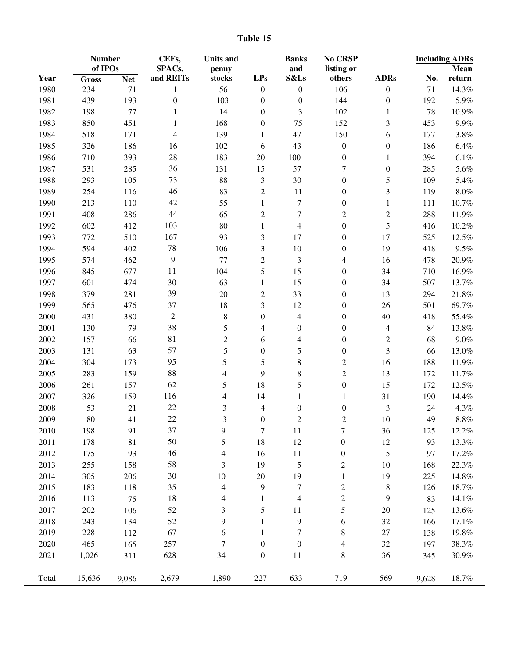|       | <b>Number</b><br>of IPOs |            | CEFs,            | <b>Units and</b>         |                  | <b>Banks</b>             | No CRSP                  |                  | <b>Including ADRs</b> |         |
|-------|--------------------------|------------|------------------|--------------------------|------------------|--------------------------|--------------------------|------------------|-----------------------|---------|
|       |                          |            | SPACs,           | penny                    |                  | and                      | listing or               |                  |                       | Mean    |
| Year  | <b>Gross</b>             | <b>Net</b> | and REITs        | stocks                   | <b>LPs</b>       | S&Ls                     | others                   | <b>ADRs</b>      | No.                   | return  |
| 1980  | 234                      | 71         | 1                | 56                       | $\boldsymbol{0}$ | $\boldsymbol{0}$         | 106                      | $\boldsymbol{0}$ | 71                    | 14.3%   |
| 1981  | 439                      | 193        | $\boldsymbol{0}$ | 103                      | $\boldsymbol{0}$ | $\boldsymbol{0}$         | 144                      | $\boldsymbol{0}$ | 192                   | 5.9%    |
| 1982  | 198                      | $77 \,$    | 1                | 14                       | $\boldsymbol{0}$ | 3                        | 102                      | 1                | 78                    | 10.9%   |
| 1983  | 850                      | 451        | 1                | 168                      | $\boldsymbol{0}$ | $75\,$                   | 152                      | 3                | 453                   | 9.9%    |
| 1984  | 518                      | 171        | 4                | 139                      | 1                | 47                       | 150                      | 6                | 177                   | $3.8\%$ |
| 1985  | 326                      | 186        | 16               | 102                      | 6                | 43                       | $\boldsymbol{0}$         | $\boldsymbol{0}$ | 186                   | $6.4\%$ |
| 1986  | 710                      | 393        | 28               | 183                      | $20\,$           | 100                      | $\boldsymbol{0}$         | 1                | 394                   | $6.1\%$ |
| 1987  | 531                      | 285        | 36               | 131                      | 15               | 57                       | $\tau$                   | $\boldsymbol{0}$ | 285                   | 5.6%    |
| 1988  | 293                      | 105        | 73               | 88                       | 3                | 30                       | $\boldsymbol{0}$         | 5                | 109                   | 5.4%    |
| 1989  | 254                      | 116        | 46               | 83                       | $\mathbf{2}$     | 11                       | $\boldsymbol{0}$         | 3                | 119                   | $8.0\%$ |
| 1990  | 213                      | 110        | 42               | 55                       | $\mathbf{1}$     | $\boldsymbol{7}$         | $\boldsymbol{0}$         | $\mathbf{1}$     | 111                   | 10.7%   |
| 1991  | 408                      | 286        | 44               | 65                       | $\mathbf{2}$     | $\overline{7}$           | $\boldsymbol{2}$         | $\sqrt{2}$       | 288                   | 11.9%   |
| 1992  | 602                      | 412        | 103              | 80                       | $\mathbf{1}$     | $\overline{4}$           | $\boldsymbol{0}$         | 5                | 416                   | 10.2%   |
| 1993  | 772                      | 510        | 167              | 93                       | 3                | 17                       | $\boldsymbol{0}$         | 17               | 525                   | 12.5%   |
| 1994  | 594                      | 402        | $78\,$           | 106                      | 3                | 10                       | $\boldsymbol{0}$         | 19               | 418                   | $9.5\%$ |
| 1995  | 574                      | 462        | 9                | 77                       | $\overline{c}$   | 3                        | $\overline{\mathcal{A}}$ | 16               | 478                   | 20.9%   |
| 1996  | 845                      | 677        | 11               | 104                      | 5                | 15                       | $\boldsymbol{0}$         | 34               | 710                   | 16.9%   |
| 1997  | 601                      | 474        | 30               | 63                       | 1                | 15                       | $\boldsymbol{0}$         | 34               | 507                   | 13.7%   |
| 1998  | 379                      | 281        | 39               | 20                       | $\overline{c}$   | 33                       | $\boldsymbol{0}$         | 13               | 294                   | 21.8%   |
| 1999  | 565                      | 476        | 37               | 18                       | 3                | 12                       | $\boldsymbol{0}$         | 26               | 501                   | 69.7%   |
| 2000  | 431                      | 380        | $\mathfrak{2}$   | $\,8\,$                  | $\boldsymbol{0}$ | $\overline{\mathcal{L}}$ | $\boldsymbol{0}$         | 40               | 418                   | 55.4%   |
| 2001  | 130                      | 79         | 38               | 5                        | 4                | $\boldsymbol{0}$         | $\boldsymbol{0}$         | $\overline{4}$   | 84                    | 13.8%   |
| 2002  | 157                      | 66         | 81               | $\mathbf{2}$             | 6                | $\overline{\mathcal{A}}$ | $\boldsymbol{0}$         | $\boldsymbol{2}$ | 68                    | $9.0\%$ |
| 2003  | 131                      | 63         | 57               | 5                        | $\boldsymbol{0}$ | 5                        | $\boldsymbol{0}$         | 3                | 66                    | 13.0%   |
| 2004  | 304                      | 173        | 95               | 5                        | 5                | 8                        | $\boldsymbol{2}$         | 16               | 188                   | 11.9%   |
| 2005  | 283                      | 159        | 88               | $\overline{4}$           | 9                | 8                        | $\sqrt{2}$               | 13               | 172                   | 11.7%   |
| 2006  | 261                      | 157        | 62               | 5                        | 18               | 5                        | $\boldsymbol{0}$         | 15               | 172                   | 12.5%   |
| 2007  | 326                      | 159        | 116              | 4                        | 14               | $\mathbf{1}$             | 1                        | 31               | 190                   | 14.4%   |
| 2008  | 53                       | $21\,$     | $22\,$           | $\mathfrak{Z}$           | 4                | $\boldsymbol{0}$         | $\boldsymbol{0}$         | $\mathfrak{Z}$   | 24                    | 4.3%    |
| 2009  | 80                       | 41         | 22               | 3                        |                  | $\mathbf{2}$             | $\boldsymbol{2}$         | 10               | 49                    | $8.8\%$ |
|       |                          |            | 37               |                          | 0                |                          |                          |                  |                       |         |
| 2010  | 198                      | 91         |                  | 9                        | $\tau$           | 11                       | $\overline{7}$           | 36               | 125                   | 12.2%   |
| 2011  | 178                      | 81         | 50               | 5                        | 18               | 12                       | $\boldsymbol{0}$         | 12               | 93                    | 13.3%   |
| 2012  | 175                      | 93         | 46               | $\overline{\mathcal{A}}$ | 16               | 11                       | $\boldsymbol{0}$         | 5                | 97                    | 17.2%   |
| 2013  | 255                      | 158        | 58               | 3                        | 19               | 5                        | $\overline{c}$           | 10               | 168                   | 22.3%   |
| 2014  | 305                      | 206        | 30               | 10                       | $20\,$           | 19                       | $\mathbf{1}$             | 19               | 225                   | 14.8%   |
| 2015  | 183                      | 118        | 35               | $\overline{\mathcal{L}}$ | 9                | $\boldsymbol{7}$         | $\overline{c}$           | 8                | 126                   | 18.7%   |
| 2016  | 113                      | 75         | 18               | $\overline{\mathcal{A}}$ | $\mathbf{1}$     | $\overline{\mathcal{L}}$ | $\overline{c}$           | 9                | 83                    | 14.1%   |
| 2017  | 202                      | 106        | 52               | 3                        | 5                | 11                       | 5                        | 20               | 125                   | 13.6%   |
| 2018  | 243                      | 134        | 52               | 9                        | $\mathbf 1$      | 9                        | 6                        | 32               | 166                   | 17.1%   |
| 2019  | 228                      | 112        | 67               | 6                        | 1                | $\boldsymbol{7}$         | 8                        | $27\,$           | 138                   | 19.8%   |
| 2020  | 465                      | 165        | 257              | 7                        | $\boldsymbol{0}$ | $\boldsymbol{0}$         | 4                        | 32               | 197                   | 38.3%   |
| 2021  | 1,026                    | 311        | 628              | 34                       | $\boldsymbol{0}$ | 11                       | 8                        | 36               | 345                   | 30.9%   |
| Total | 15,636                   | 9,086      | 2,679            | 1,890                    | 227              | 633                      | 719                      | 569              | 9,628                 | 18.7%   |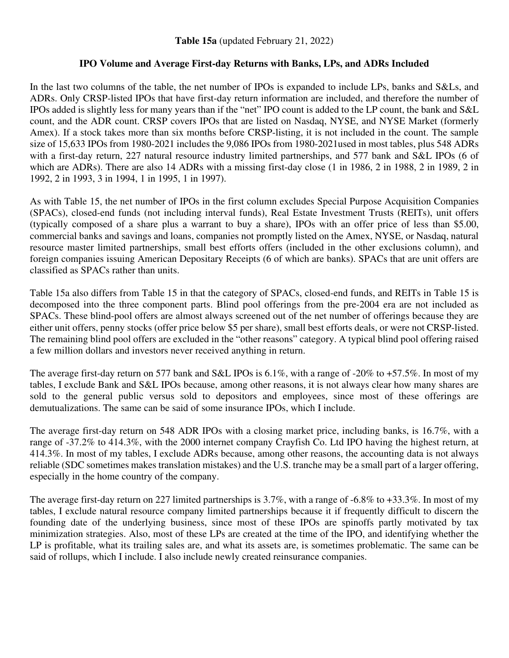## **IPO Volume and Average First-day Returns with Banks, LPs, and ADRs Included**

In the last two columns of the table, the net number of IPOs is expanded to include LPs, banks and S&Ls, and ADRs. Only CRSP-listed IPOs that have first-day return information are included, and therefore the number of IPOs added is slightly less for many years than if the "net" IPO count is added to the LP count, the bank and S&L count, and the ADR count. CRSP covers IPOs that are listed on Nasdaq, NYSE, and NYSE Market (formerly Amex). If a stock takes more than six months before CRSP-listing, it is not included in the count. The sample size of 15,633 IPOs from 1980-2021 includes the 9,086 IPOs from 1980-2021used in most tables, plus 548 ADRs with a first-day return, 227 natural resource industry limited partnerships, and 577 bank and S&L IPOs (6 of which are ADRs). There are also 14 ADRs with a missing first-day close (1 in 1986, 2 in 1988, 2 in 1989, 2 in 1992, 2 in 1993, 3 in 1994, 1 in 1995, 1 in 1997).

As with Table 15, the net number of IPOs in the first column excludes Special Purpose Acquisition Companies (SPACs), closed-end funds (not including interval funds), Real Estate Investment Trusts (REITs), unit offers (typically composed of a share plus a warrant to buy a share), IPOs with an offer price of less than \$5.00, commercial banks and savings and loans, companies not promptly listed on the Amex, NYSE, or Nasdaq, natural resource master limited partnerships, small best efforts offers (included in the other exclusions column), and foreign companies issuing American Depositary Receipts (6 of which are banks). SPACs that are unit offers are classified as SPACs rather than units.

Table 15a also differs from Table 15 in that the category of SPACs, closed-end funds, and REITs in Table 15 is decomposed into the three component parts. Blind pool offerings from the pre-2004 era are not included as SPACs. These blind-pool offers are almost always screened out of the net number of offerings because they are either unit offers, penny stocks (offer price below \$5 per share), small best efforts deals, or were not CRSP-listed. The remaining blind pool offers are excluded in the "other reasons" category. A typical blind pool offering raised a few million dollars and investors never received anything in return.

The average first-day return on 577 bank and S&L IPOs is 6.1%, with a range of -20% to +57.5%. In most of my tables, I exclude Bank and S&L IPOs because, among other reasons, it is not always clear how many shares are sold to the general public versus sold to depositors and employees, since most of these offerings are demutualizations. The same can be said of some insurance IPOs, which I include.

The average first-day return on 548 ADR IPOs with a closing market price, including banks, is 16.7%, with a range of -37.2% to 414.3%, with the 2000 internet company Crayfish Co. Ltd IPO having the highest return, at 414.3%. In most of my tables, I exclude ADRs because, among other reasons, the accounting data is not always reliable (SDC sometimes makes translation mistakes) and the U.S. tranche may be a small part of a larger offering, especially in the home country of the company.

The average first-day return on 227 limited partnerships is 3.7%, with a range of -6.8% to +33.3%. In most of my tables, I exclude natural resource company limited partnerships because it if frequently difficult to discern the founding date of the underlying business, since most of these IPOs are spinoffs partly motivated by tax minimization strategies. Also, most of these LPs are created at the time of the IPO, and identifying whether the LP is profitable, what its trailing sales are, and what its assets are, is sometimes problematic. The same can be said of rollups, which I include. I also include newly created reinsurance companies.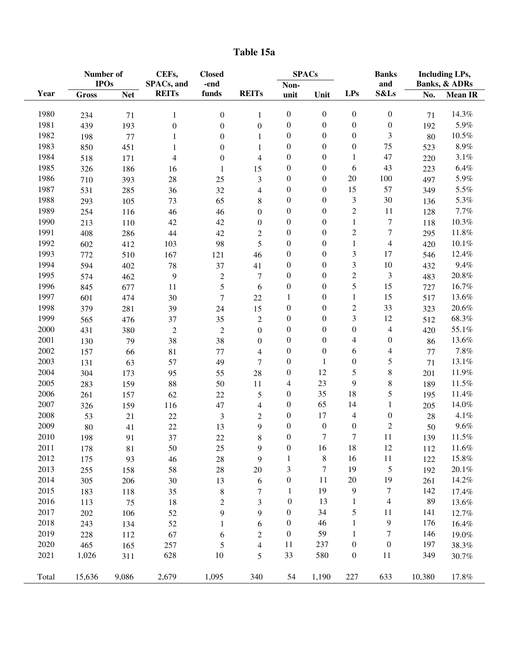| Table 15a |  |
|-----------|--|
|-----------|--|

|       | Number of<br><b>IPOs</b> |            | CEFs,<br>SPACs, and | <b>Closed</b><br>-end |                                                              | <b>SPACs</b>     |                  |                  | <b>Banks</b><br>and | <b>Including LPs,</b><br><b>Banks, &amp; ADRs</b> |                |
|-------|--------------------------|------------|---------------------|-----------------------|--------------------------------------------------------------|------------------|------------------|------------------|---------------------|---------------------------------------------------|----------------|
| Year  | <b>Gross</b>             | <b>Net</b> | <b>REITs</b>        | funds                 | <b>REITs</b>                                                 | Non-<br>unit     | Unit             | <b>LPs</b>       | S&Ls                | No.                                               | <b>Mean IR</b> |
|       |                          |            |                     |                       |                                                              |                  |                  |                  |                     |                                                   |                |
| 1980  | 234                      | 71         | 1                   | $\boldsymbol{0}$      | 1                                                            | $\boldsymbol{0}$ | $\boldsymbol{0}$ | $\boldsymbol{0}$ | $\boldsymbol{0}$    | 71                                                | 14.3%          |
| 1981  | 439                      | 193        | $\boldsymbol{0}$    | $\boldsymbol{0}$      | $\boldsymbol{0}$                                             | $\boldsymbol{0}$ | $\boldsymbol{0}$ | $\boldsymbol{0}$ | $\boldsymbol{0}$    | 192                                               | 5.9%           |
| 1982  | 198                      | 77         | $\mathbf{1}$        | $\boldsymbol{0}$      | 1                                                            | $\boldsymbol{0}$ | $\boldsymbol{0}$ | $\boldsymbol{0}$ | 3                   | 80                                                | $10.5\%$       |
| 1983  | 850                      | 451        | $\mathbf{1}$        | $\boldsymbol{0}$      | 1                                                            | $\boldsymbol{0}$ | $\boldsymbol{0}$ | $\boldsymbol{0}$ | 75                  | 523                                               | $8.9\%$        |
| 1984  | 518                      | 171        | $\overline{4}$      | $\boldsymbol{0}$      | $\overline{4}$                                               | $\boldsymbol{0}$ | $\boldsymbol{0}$ | $\mathbf{1}$     | 47                  | 220                                               | $3.1\%$        |
| 1985  | 326                      | 186        | 16                  | $\mathbf{1}$          | 15                                                           | $\boldsymbol{0}$ | $\boldsymbol{0}$ | 6                | 43                  | 223                                               | $6.4\%$        |
| 1986  | 710                      | 393        | 28                  | 25                    | 3                                                            | $\boldsymbol{0}$ | $\boldsymbol{0}$ | 20               | 100                 | 497                                               | 5.9%           |
| 1987  | 531                      | 285        | 36                  | 32                    | $\overline{4}$                                               | $\boldsymbol{0}$ | $\boldsymbol{0}$ | 15               | 57                  | 349                                               | 5.5%           |
| 1988  | 293                      | 105        | 73                  | 65                    | $\,8\,$                                                      | $\boldsymbol{0}$ | $\boldsymbol{0}$ | 3                | 30                  | 136                                               | 5.3%           |
| 1989  | 254                      | 116        | 46                  | 46                    | $\boldsymbol{0}$                                             | $\boldsymbol{0}$ | $\boldsymbol{0}$ | $\mathfrak{2}$   | 11                  | 128                                               | 7.7%           |
| 1990  | 213                      | 110        | 42                  | 42                    | $\boldsymbol{0}$                                             | $\boldsymbol{0}$ | $\boldsymbol{0}$ | $\mathbf{1}$     | 7                   | 118                                               | 10.3%          |
| 1991  | 408                      | 286        | 44                  | 42                    | $\mathfrak{2}% =\mathfrak{2}\left( \mathfrak{2}\right) ^{2}$ | $\boldsymbol{0}$ | $\boldsymbol{0}$ | $\overline{c}$   | $\boldsymbol{7}$    | 295                                               | 11.8%          |
| 1992  | 602                      | 412        | 103                 | 98                    | 5                                                            | $\boldsymbol{0}$ | $\boldsymbol{0}$ | $\mathbf{1}$     | $\overline{4}$      | 420                                               | $10.1\%$       |
| 1993  | 772                      | 510        | 167                 | 121                   | 46                                                           | $\boldsymbol{0}$ | $\boldsymbol{0}$ | 3                | 17                  | 546                                               | 12.4%          |
| 1994  | 594                      | 402        | 78                  | 37                    | 41                                                           | $\boldsymbol{0}$ | $\boldsymbol{0}$ | $\mathfrak{Z}$   | $10\,$              | 432                                               | 9.4%           |
| 1995  | 574                      | 462        | 9                   | $\boldsymbol{2}$      | $\boldsymbol{7}$                                             | $\boldsymbol{0}$ | $\boldsymbol{0}$ | $\sqrt{2}$       | 3                   | 483                                               | $20.8\%$       |
| 1996  | 845                      | 677        | 11                  | $\mathfrak s$         | 6                                                            | $\boldsymbol{0}$ | $\boldsymbol{0}$ | 5                | 15                  | 727                                               | 16.7%          |
| 1997  | 601                      | 474        | 30                  | $\boldsymbol{7}$      | 22                                                           | $\mathbf{1}$     | $\boldsymbol{0}$ | $\mathbf{1}$     | 15                  | 517                                               | 13.6%          |
| 1998  | 379                      | 281        | 39                  | 24                    | 15                                                           | $\boldsymbol{0}$ | $\boldsymbol{0}$ | $\overline{c}$   | 33                  | 323                                               | 20.6%          |
| 1999  | 565                      | 476        | 37                  | 35                    | $\mathfrak 2$                                                | $\boldsymbol{0}$ | $\boldsymbol{0}$ | 3                | 12                  | 512                                               | 68.3%          |
| 2000  | 431                      | 380        | $\overline{2}$      | $\overline{2}$        | $\boldsymbol{0}$                                             | $\boldsymbol{0}$ | $\boldsymbol{0}$ | $\boldsymbol{0}$ | 4                   | 420                                               | 55.1%          |
| 2001  | 130                      | 79         | 38                  | 38                    | $\boldsymbol{0}$                                             | $\boldsymbol{0}$ | $\boldsymbol{0}$ | $\overline{4}$   | $\boldsymbol{0}$    | 86                                                | 13.6%          |
| 2002  | 157                      | 66         | 81                  | $77 \,$               | $\overline{4}$                                               | $\boldsymbol{0}$ | $\boldsymbol{0}$ | 6                | 4                   | $77 \,$                                           | $7.8\%$        |
| 2003  | 131                      | 63         | 57                  | 49                    | $\boldsymbol{7}$                                             | $\boldsymbol{0}$ | $\mathbf{1}$     | $\boldsymbol{0}$ | 5                   | 71                                                | 13.1%          |
| 2004  | 304                      | 173        | 95                  | 55                    | $28\,$                                                       | $\boldsymbol{0}$ | 12               | 5                | 8                   | 201                                               | 11.9%          |
| 2005  | 283                      | 159        | 88                  | 50                    | 11                                                           | 4                | 23               | 9                | 8                   | 189                                               | $11.5\%$       |
| 2006  | 261                      | 157        | 62                  | 22                    | $\mathfrak s$                                                | $\boldsymbol{0}$ | 35               | 18               | 5                   | 195                                               | 11.4%          |
| 2007  | 326                      | 159        | 116                 | 47                    | $\overline{4}$                                               | $\boldsymbol{0}$ | 65               | 14               | $\mathbf{1}$        | 205                                               | 14.0%          |
| 2008  | 53                       | 21         | 22                  | $\mathfrak{Z}$        | $\mathfrak{2}$                                               | $\boldsymbol{0}$ | 17               | $\overline{4}$   | $\boldsymbol{0}$    | 28                                                | 4.1%           |
| 2009  | 80                       | 41         | 22                  | 13                    | 9                                                            | $\boldsymbol{0}$ | $\boldsymbol{0}$ | $\boldsymbol{0}$ | $\overline{c}$      | 50                                                | 9.6%           |
| 2010  | 198                      | 91         | 37                  | 22                    | $\,8\,$                                                      | $\boldsymbol{0}$ | $\overline{7}$   | $\overline{7}$   | 11                  | 139                                               | 11.5%          |
| 2011  | 178                      | 81         | 50                  | 25                    | 9                                                            | $\boldsymbol{0}$ | 16               | 18               | 12                  | 112                                               | 11.6%          |
| 2012  | 175                      | 93         | 46                  | 28                    | 9                                                            | 1                | $\,$ 8 $\,$      | 16               | 11                  | 122                                               | 15.8%          |
| 2013  | 255                      | 158        | 58                  | $28\,$                | $20\,$                                                       | 3                | $\tau$           | 19               | $\mathfrak s$       | 192                                               | 20.1%          |
| 2014  | 305                      | 206        | $30\,$              | 13                    | 6                                                            | $\boldsymbol{0}$ | 11               | 20               | 19                  | 261                                               | 14.2%          |
| 2015  | 183                      | 118        | 35                  | $\,8\,$               | $\boldsymbol{7}$                                             | $\mathbf{1}$     | 19               | $\overline{9}$   | 7                   | 142                                               | 17.4%          |
| 2016  | 113                      | 75         | $18\,$              | $\mathbf{2}$          | $\mathfrak{Z}$                                               | $\boldsymbol{0}$ | 13               | $\mathbf{1}$     | 4                   | 89                                                | 13.6%          |
| 2017  | 202                      | 106        | 52                  | 9                     | $\mathbf{9}$                                                 | $\boldsymbol{0}$ | 34               | 5                | 11                  | 141                                               | 12.7%          |
| 2018  | 243                      | 134        | 52                  | $\mathbf{1}$          | 6                                                            | $\boldsymbol{0}$ | 46               | 1                | 9                   | 176                                               | 16.4%          |
| 2019  | 228                      | 112        | 67                  | 6                     | $\mathfrak{2}$                                               | $\boldsymbol{0}$ | 59               | 1                | 7                   | 146                                               | 19.0%          |
| 2020  | 465                      | 165        | 257                 | $\mathfrak s$         | $\overline{4}$                                               | 11               | 237              | $\boldsymbol{0}$ | $\boldsymbol{0}$    | 197                                               | 38.3%          |
| 2021  | 1,026                    | 311        | 628                 | $10\,$                | 5                                                            | 33               | 580              | $\boldsymbol{0}$ | 11                  | 349                                               | 30.7%          |
|       |                          |            |                     |                       |                                                              |                  |                  |                  |                     |                                                   |                |
| Total | 15,636                   | 9,086      | 2,679               | 1,095                 | 340                                                          | 54               | 1,190            | $227\,$          | 633                 | 10,380                                            | 17.8%          |